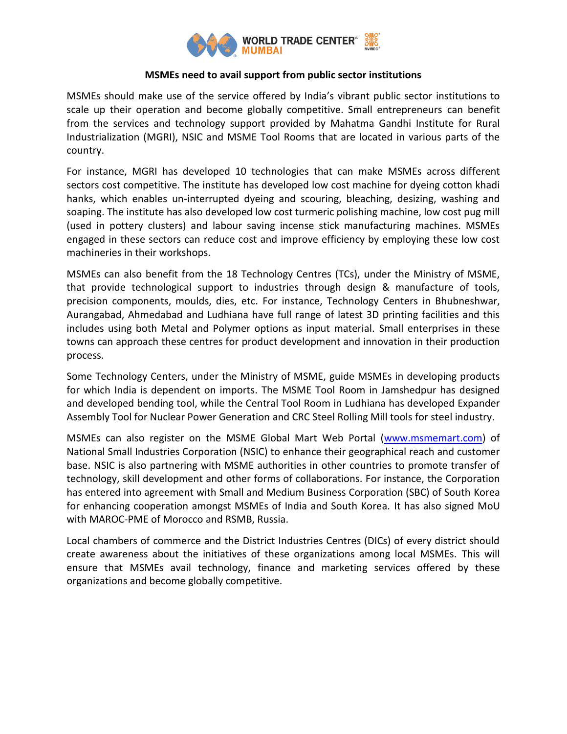

## **MSMEs need to avail support from public sector institutions**

MSMEs should make use of the service offered by India's vibrant public sector institutions to scale up their operation and become globally competitive. Small entrepreneurs can benefit from the services and technology support provided by Mahatma Gandhi Institute for Rural Industrialization (MGRI), NSIC and MSME Tool Rooms that are located in various parts of the country.

For instance, MGRI has developed 10 technologies that can make MSMEs across different sectors cost competitive. The institute has developed low cost machine for dyeing cotton khadi hanks, which enables un-interrupted dyeing and scouring, bleaching, desizing, washing and soaping. The institute has also developed low cost turmeric polishing machine, low cost pug mill (used in pottery clusters) and labour saving incense stick manufacturing machines. MSMEs engaged in these sectors can reduce cost and improve efficiency by employing these low cost machineries in their workshops.

MSMEs can also benefit from the 18 Technology Centres (TCs), under the Ministry of MSME, that provide technological support to industries through design & manufacture of tools, precision components, moulds, dies, etc. For instance, Technology Centers in Bhubneshwar, Aurangabad, Ahmedabad and Ludhiana have full range of latest 3D printing facilities and this includes using both Metal and Polymer options as input material. Small enterprises in these towns can approach these centres for product development and innovation in their production process.

Some Technology Centers, under the Ministry of MSME, guide MSMEs in developing products for which India is dependent on imports. The MSME Tool Room in Jamshedpur has designed and developed bending tool, while the Central Tool Room in Ludhiana has developed Expander Assembly Tool for Nuclear Power Generation and CRC Steel Rolling Mill tools for steel industry.

MSMEs can also register on the MSME Global Mart Web Portal [\(www.msmemart.com\)](http://www.msmemart.com/) of National Small Industries Corporation (NSIC) to enhance their geographical reach and customer base. NSIC is also partnering with MSME authorities in other countries to promote transfer of technology, skill development and other forms of collaborations. For instance, the Corporation has entered into agreement with Small and Medium Business Corporation (SBC) of South Korea for enhancing cooperation amongst MSMEs of India and South Korea. It has also signed MoU with MAROC-PME of Morocco and RSMB, Russia.

Local chambers of commerce and the District Industries Centres (DICs) of every district should create awareness about the initiatives of these organizations among local MSMEs. This will ensure that MSMEs avail technology, finance and marketing services offered by these organizations and become globally competitive.